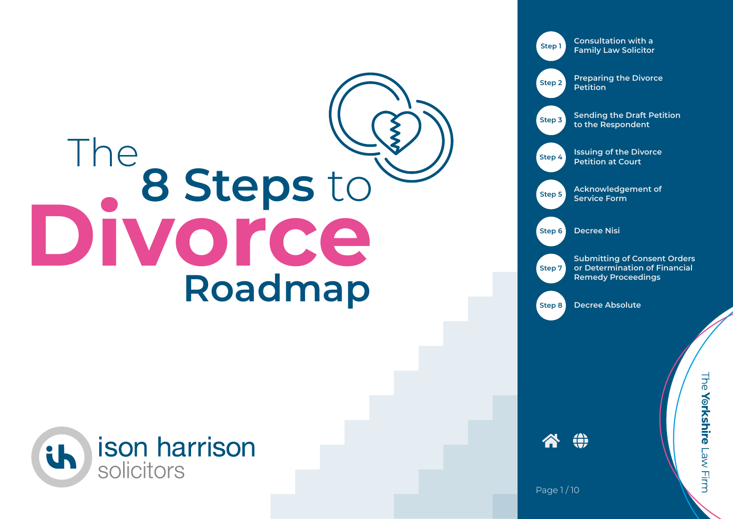## The assteps to **8 Steps** to **Divorce Roadmap**





谷①

Page 1/10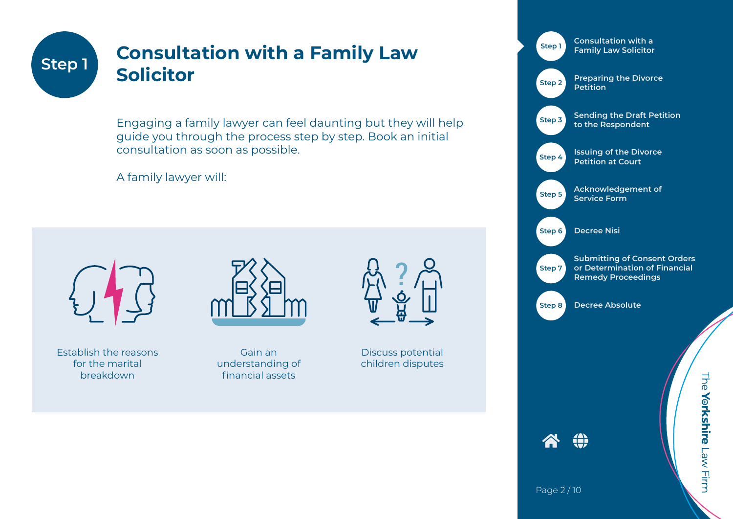#### **Consultation with a Family Law Solicitor Step 1**

Engaging a family lawyer can feel daunting but they will help guide you through the process step by step. Book an initial consultation as soon as possible.

A family lawyer will:



Establish the reasons for the marital breakdown



Gain an understanding of financial assets



Discuss potential children disputes



The Yorkshire Law Firm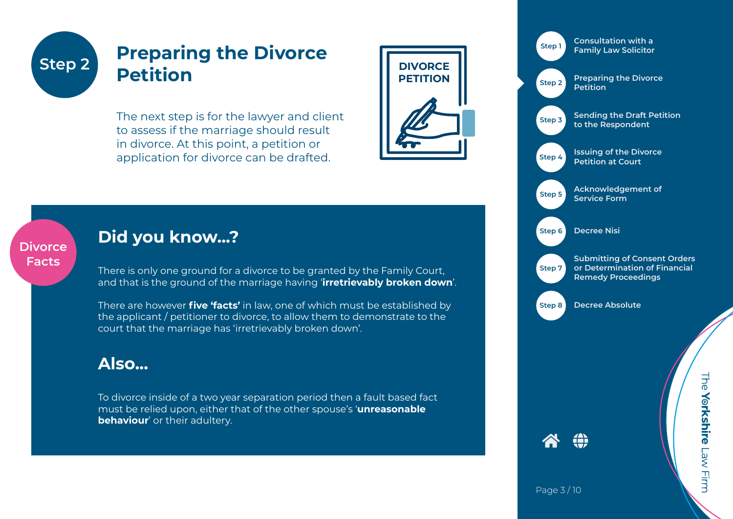**Divorce Facts**

#### **Preparing the Divorce Petition** Step 2 **Detition DIVORCE**

The next step is for the lawyer and client to assess if the marriage should result in divorce. At this point, a petition or application for divorce can be drafted.



**Consultation with a Family Law Solicitor Preparing the Divorce Petition Sending the Draft Petition to the Respondent Issuing of the Divorce Petition at Court Acknowledgement of Service Form Decree Nisi Step 1 Step 2 Step 3 Step 4 Step 5 Step 6**

> **Submitting of Consent Orders or Determination of Financial Remedy Proceedings**

**Step 8**

**Decree Absolute**

谷 (1)

**Step 7**

# The Yorkshire Law Firm

#### **Did you know...?**

There is only one ground for a divorce to be granted by the Family Court, and that is the ground of the marriage having '**irretrievably broken down**'.

There are however **five 'facts'** in law, one of which must be established by the applicant / petitioner to divorce, to allow them to demonstrate to the court that the marriage has 'irretrievably broken down'.

#### **Also...**

To divorce inside of a two year separation period then a fault based fact must be relied upon, either that of the other spouse's '**unreasonable behaviour'** or their adultery.

Page 3 / 10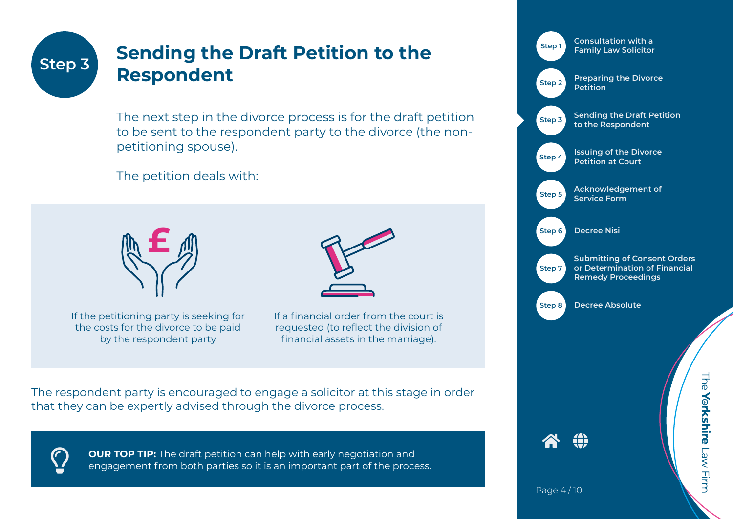#### **Sending the Draft Petition to the Respondent Step 3**

The next step in the divorce process is for the draft petition to be sent to the respondent party to the divorce (the nonpetitioning spouse).

The petition deals with:



If the petitioning party is seeking for the costs for the divorce to be paid by the respondent party



If a financial order from the court is requested (to reflect the division of financial assets in the marriage).

The respondent party is encouraged to engage a solicitor at this stage in order that they can be expertly advised through the divorce process.



**OUR TOP TIP:** The draft petition can help with early negotiation and engagement from both parties so it is an important part of the process.



Page 4 / 10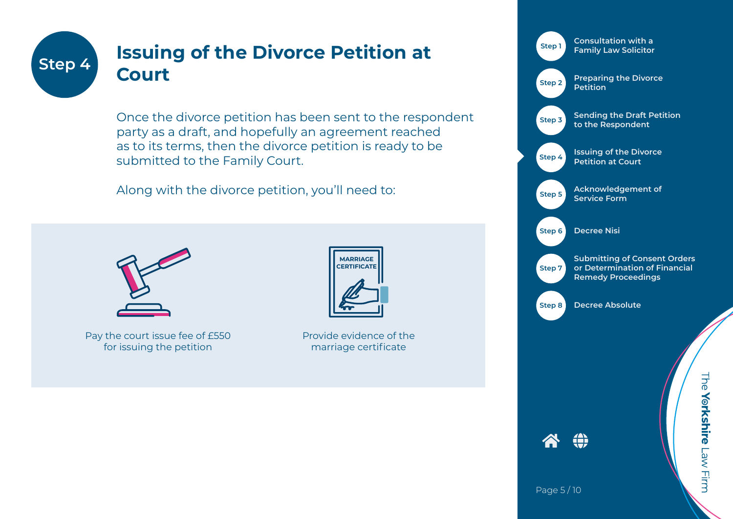#### **Issuing of the Divorce Petition at Court Step 4**

Once the divorce petition has been sent to the respondent party as a draft, and hopefully an agreement reached as to its terms, then the divorce petition is ready to be submitted to the Family Court.

Along with the divorce petition, you'll need to:



Pay the court issue fee of £550 for issuing the petition



Provide evidence of the marriage certificate



Page 5 / 10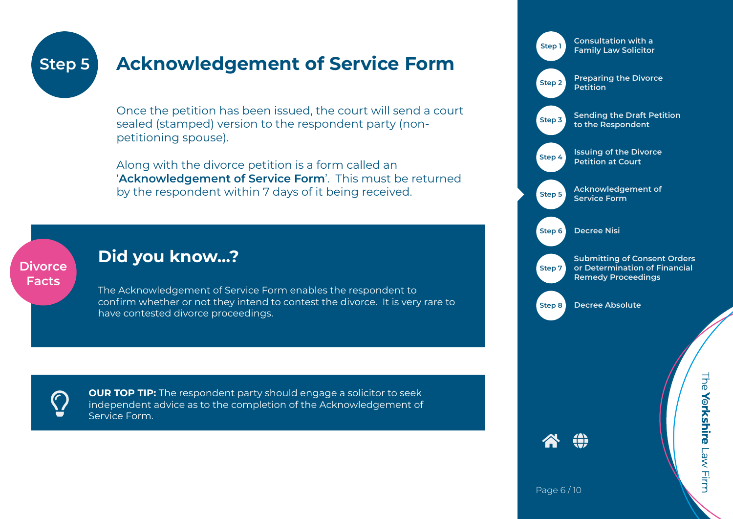#### **Acknowledgement of Service Form Step 5**

Once the petition has been issued, the court will send a court sealed (stamped) version to the respondent party (nonpetitioning spouse).

Along with the divorce petition is a form called an '**Acknowledgement of Service Form**'. This must be returned by the respondent within 7 days of it being received.

#### **Divorce Facts**

#### **Did you know...?**

The Acknowledgement of Service Form enables the respondent to confirm whether or not they intend to contest the divorce. It is very rare to have contested divorce proceedings.

**OUR TOP TIP:** The respondent party should engage a solicitor to seek independent advice as to the completion of the Acknowledgement of Service Form Service Form.



Page 6 / 10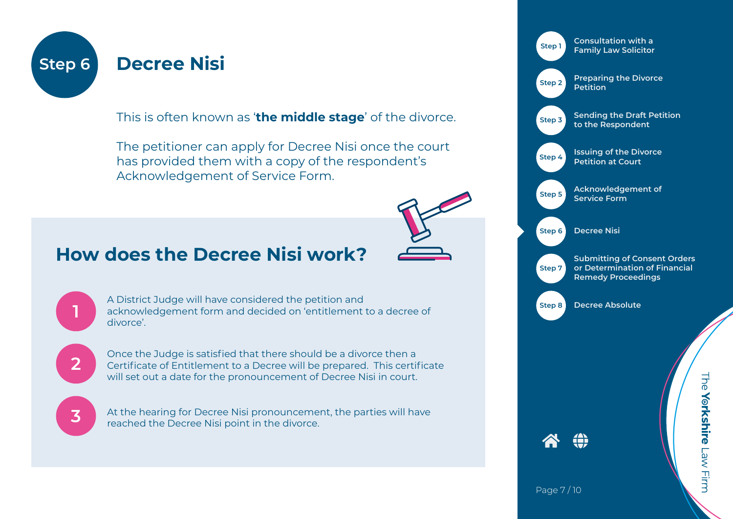

This is often known as '**the middle stage**' of the divorce.

The petitioner can apply for Decree Nisi once the court has provided them with a copy of the respondent's Acknowledgement of Service Form.

### **How does the Decree Nisi work?**



A District Judge will have considered the petition and acknowledgement form and decided on 'entitlement to a decree of divorce'.



**1**

Once the Judge is satisfied that there should be a divorce then a Certificate of Entitlement to a Decree will be prepared. This certificate will set out a date for the pronouncement of Decree Nisi in court.



At the hearing for Decree Nisi pronouncement, the parties will have reached the Decree Nisi point in the divorce.



The Yorkshire Law Firm

Page 7 / 10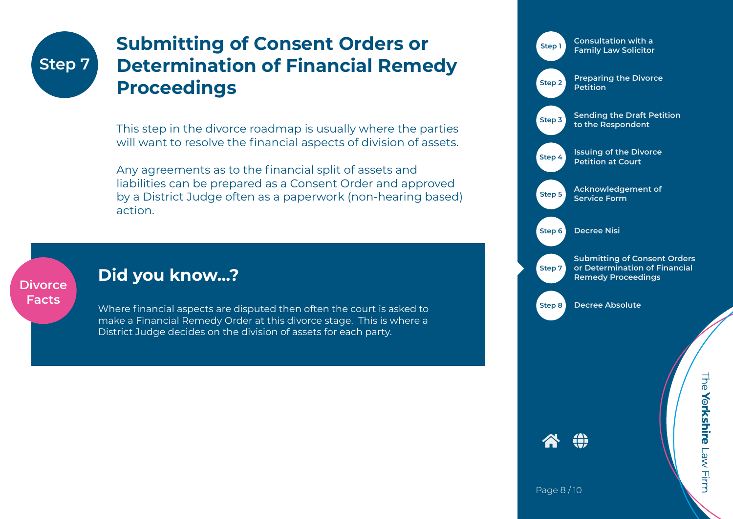## **Step 7**

### **Submitting of Consent Orders or Determination of Financial Remedy Proceedings**

This step in the divorce roadmap is usually where the parties will want to resolve the financial aspects of division of assets.

Any agreements as to the financial split of assets and liabilities can be prepared as a Consent Order and approved by a District Judge often as a paperwork (non-hearing based) action.

#### **Divorce Facts**

#### **Did you know...?**

Where financial aspects are disputed then often the court is asked to make a Financial Remedy Order at this divorce stage. This is where a District Judge decides on the division of assets for each party.

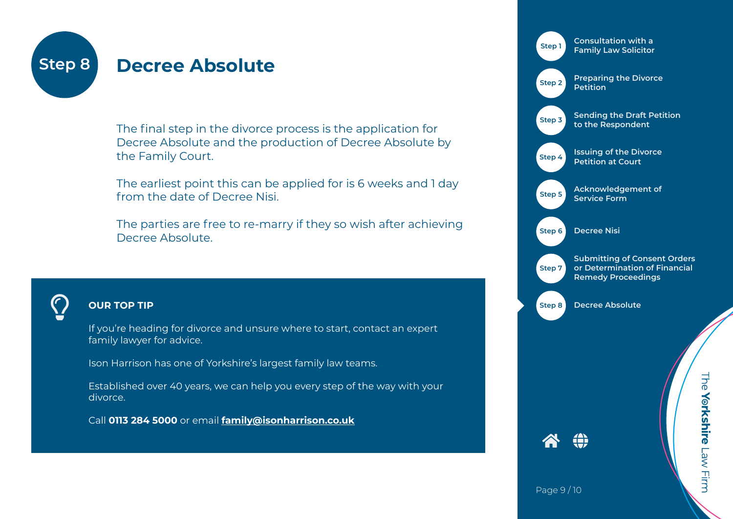

#### **Decree Absolute**

The final step in the divorce process is the application for Decree Absolute and the production of Decree Absolute by the Family Court.

The earliest point this can be applied for is 6 weeks and 1 day from the date of Decree Nisi.

The parties are free to re-marry if they so wish after achieving Decree Absolute.



#### **OUR TOP TIP**

If you're heading for divorce and unsure where to start, contact an expert family lawyer for advice.

Ison Harrison has one of Yorkshire's largest family law teams.

Established over 40 years, we can help you every step of the way with your divorce.

Call **0113 284 5000** or email **family@isonharrison.co.uk**